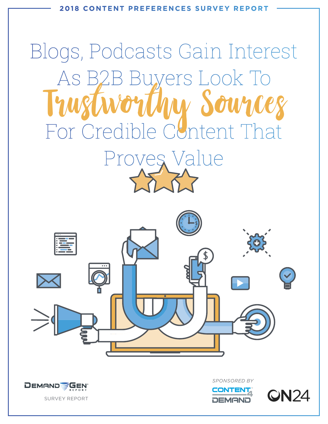

# Blogs, Podcasts Gain Interest As B2B Buyers Look To For Credible Content That Proves Value Iworthu Sources





*SPONSORED BY*



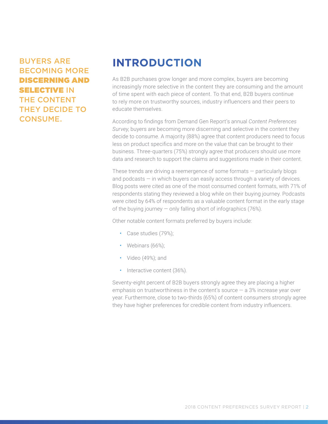#### BUYERS ARE BECOMING MORE DISCERNING AND **SELECTIVE IN** THE CONTENT THEY DECIDE TO CONSUME.

# **INTRODUCTION**

As B2B purchases grow longer and more complex, buyers are becoming increasingly more selective in the content they are consuming and the amount of time spent with each piece of content. To that end, B2B buyers continue to rely more on trustworthy sources, industry influencers and their peers to educate themselves.

According to findings from Demand Gen Report's annual *Content Preferences Survey*, buyers are becoming more discerning and selective in the content they decide to consume. A majority (88%) agree that content producers need to focus less on product specifics and more on the value that can be brought to their business. Three-quarters (75%) strongly agree that producers should use more data and research to support the claims and suggestions made in their content.

These trends are driving a reemergence of some formats — particularly blogs and podcasts — in which buyers can easily access through a variety of devices. Blog posts were cited as one of the most consumed content formats, with 71% of respondents stating they reviewed a blog while on their buying journey. Podcasts were cited by 64% of respondents as a valuable content format in the early stage of the buying journey — only falling short of infographics (76%).

Other notable content formats preferred by buyers include:

- Case studies (79%);
- Webinars (66%);
- Video (49%); and
- Interactive content (36%).

Seventy-eight percent of B2B buyers strongly agree they are placing a higher emphasis on trustworthiness in the content's source  $-$  a 3% increase year over year. Furthermore, close to two-thirds (65%) of content consumers strongly agree they have higher preferences for credible content from industry influencers.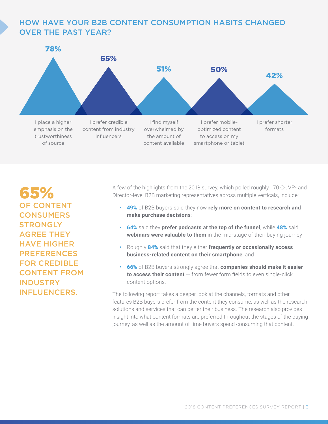#### HOW HAVE YOUR B2B CONTENT CONSUMPTION HABITS CHANGED OVER THE PAST YEAR?



65% OF CONTENT **CONSUMERS STRONGLY** AGREE THEY HAVE HIGHER PREFERENCES FOR CREDIBLE CONTENT FROM INDUSTRY INFLUENCERS.

A few of the highlights from the 2018 survey, which polled roughly 170 C-, VP- and Director-level B2B marketing representatives across multiple verticals, include:

- 49% of B2B buyers said they now **rely more on content to research and make purchase decisions**;
- 64% said they **prefer podcasts at the top of the funnel**, while 48% said **webinars were valuable to them** in the mid-stage of their buying journey
- Roughly 84% said that they either **frequently or occasionally access business-related content on their smartphone**; and
- 66% of B2B buyers strongly agree that **companies should make it easier to access their content** — from fewer form fields to even single-click content options.

The following report takes a deeper look at the channels, formats and other features B2B buyers prefer from the content they consume, as well as the research solutions and services that can better their business. The research also provides insight into what content formats are preferred throughout the stages of the buying journey, as well as the amount of time buyers spend consuming that content.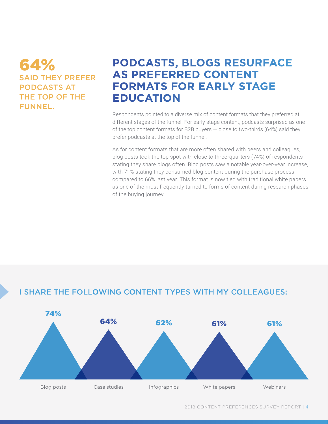### 64% SAID THEY PREFER PODCASTS AT THE TOP OF THE FUNNEL.

# **PODCASTS, BLOGS RESURFACE AS PREFERRED CONTENT FORMATS FOR EARLY STAGE EDUCATION**

Respondents pointed to a diverse mix of content formats that they preferred at different stages of the funnel. For early stage content, podcasts surprised as one of the top content formats for B2B buyers  $-$  close to two-thirds (64%) said they prefer podcasts at the top of the funnel.

As for content formats that are more often shared with peers and colleagues, blog posts took the top spot with close to three-quarters (74%) of respondents stating they share blogs often. Blog posts saw a notable year-over-year increase, with 71% stating they consumed blog content during the purchase process compared to 66% last year. This format is now tied with traditional white papers as one of the most frequently turned to forms of content during research phases of the buying journey.

#### I SHARE THE FOLLOWING CONTENT TYPES WITH MY COLLEAGUES:

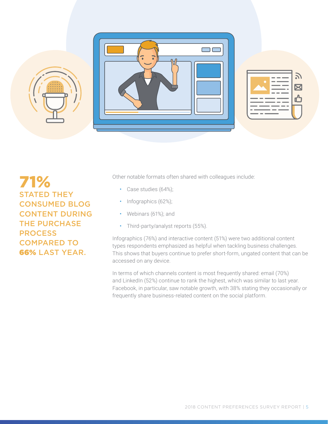

71% STATED THEY CONSUMED BLOG CONTENT DURING THE PURCHASE PROCESS COMPARED TO 66% LAST YEAR.

Other notable formats often shared with colleagues include:

- Case studies (64%);
- Infographics (62%);
- Webinars (61%); and
- Third-party/analyst reports (55%).

Infographics (76%) and interactive content (51%) were two additional content types respondents emphasized as helpful when tackling business challenges. This shows that buyers continue to prefer short-form, ungated content that can be accessed on any device.

In terms of which channels content is most frequently shared: email (70%) and LinkedIn (52%) continue to rank the highest, which was similar to last year. Facebook, in particular, saw notable growth, with 38% stating they occasionally or frequently share business-related content on the social platform.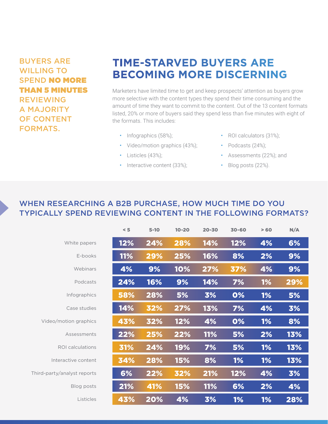#### BUYERS ARE WILLING TO SPEND NO MORE THAN 5 MINUTES REVIEWING A MAJORITY OF CONTENT FORMATS.

# **TIME-STARVED BUYERS ARE BECOMING MORE DISCERNING**

Marketers have limited time to get and keep prospects' attention as buyers grow more selective with the content types they spend their time consuming and the amount of time they want to commit to the content. Out of the 13 content formats listed, 20% or more of buyers said they spend less than five minutes with eight of the formats. This includes:

- Infographics (58%);
- Video/motion graphics (43%);
- Listicles (43%);
- Interactive content (33%);
- ROI calculators (31%);
- Podcasts (24%);
- Assessments (22%); and
- Blog posts (22%).

#### WHEN RESEARCHING A B2B PURCHASE, HOW MUCH TIME DO YOU TYPICALLY SPEND REVIEWING CONTENT IN THE FOLLOWING FORMATS?

|                             | < 5        | $5 - 10$ | $10 - 20$  | $20 - 30$  | 30-60      | >60       | N/A |
|-----------------------------|------------|----------|------------|------------|------------|-----------|-----|
| White papers                | $12\%$     | 24%      | 28%        | 14%        | <b>12%</b> | 4%        | 6%  |
| E-books                     | <b>11%</b> | 29%      | 25%        | 16%        | 8%         | 2%        | 9%  |
| Webinars                    | 4%         | 9%       | 10%        | 27%        | 37%        | 4%        | 9%  |
| Podcasts                    | 24%        | 16%      | 9%         | 14%        | 7%         | <b>1%</b> | 29% |
| Infographics                | 58%        | 28%      | 5%         | 3%         | 0%         | 1%        | 5%  |
| Case studies                | 14%        | 32%      | 27%        | 13%        | 7%         | 4%        | 3%  |
| Video/motion graphics       | 43%        | 32%      | 12%        | 4%         | 0%         | <b>1%</b> | 8%  |
| Assessments                 | 22%        | 25%      | 22%        | <b>11%</b> | 5%         | 2%        | 13% |
| <b>ROI</b> calculations     | 31%        | 24%      | 19%        | 7%         | 5%         | <b>1%</b> | 13% |
| Interactive content         | 34%        | 28%      | <b>15%</b> | 8%         | <b>1%</b>  | <b>1%</b> | 13% |
| Third-party/analyst reports | 6%         | 22%      | 32%        | 21%        | <b>12%</b> | 4%        | 3%  |
| Blog posts                  | 21%        | 41%      | <b>15%</b> | <b>11%</b> | 6%         | 2%        | 4%  |
| Listicles                   | 43%        | 20%      | 4%         | 3%         | <b>1%</b>  | 1%        | 28% |
|                             |            |          |            |            |            |           |     |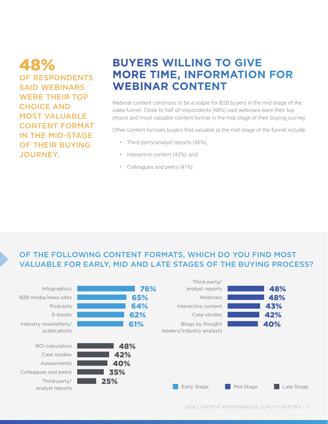48% OF RESPONDENTS SAID WEBINARS WERE THEIR TOP CHOICE AND MOST VALUABLE CONTENT FORMAT IN THE MID-STAGE OF THEIR BUYING JOURNEY.

# **BUYERS WILLING TO GIVE MORE TIME, INFORMATION FOR WEBINAR CONTENT**

Webinar content continues to be a staple for B2B buyers in the mid-stage of the sales funnel. Close to half of respondents (48%) said webinars were their top choice and most valuable content format in the mid-stage of their buying journey.

Other content formats buyers find valuable at the mid-stage of the funnel include:

- Third-party/analyst reports (48%);
- Interactive content (43%); and
- Colleagues and peers (41%).

#### OF THE FOLLOWING CONTENT FORMATS, WHICH DO YOU FIND MOST VALUABLE FOR EARLY, MID AND LATE STAGES OF THE BUYING PROCESS?

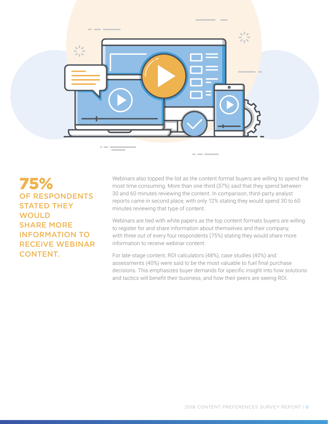

75% OF RESPONDENTS STATED THEY **WOULD** SHARE MORE INFORMATION TO RECEIVE WEBINAR CONTENT.

Webinars also topped the list as the content format buyers are willing to spend the most time consuming. More than one-third (37%) said that they spend between 30 and 60 minutes reviewing the content. In comparison, third-party analyst reports came in second place, with only 12% stating they would spend 30 to 60 minutes reviewing that type of content.

Webinars are tied with white papers as the top content formats buyers are willing to register for and share information about themselves and their company, with three out of every four respondents (75%) stating they would share more information to receive webinar content.

For late-stage content, ROI calculators (48%), case studies (40%) and assessments (40%) were said to be the most valuable to fuel final purchase decisions. This emphasizes buyer demands for specific insight into how solutions and tactics will benefit their business, and how their peers are seeing ROI.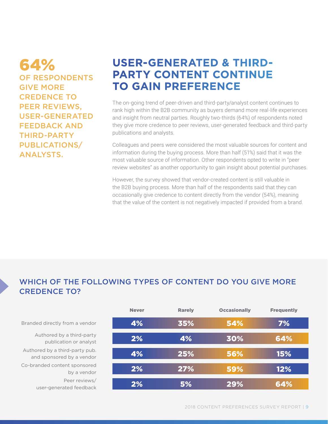64% OF RESPONDENTS GIVE MORE CREDENCE TO PEER REVIEWS, USER-GENERATED FEEDBACK AND THIRD-PARTY PUBLICATIONS/ ANALYSTS.

# **USER-GENERATED & THIRD-PARTY CONTENT CONTINUE TO GAIN PREFERENCE**

The on-going trend of peer-driven and third-party/analyst content continues to rank high within the B2B community as buyers demand more real-life experiences and insight from neutral parties. Roughly two-thirds (64%) of respondents noted they give more credence to peer reviews, user-generated feedback and third-party publications and analysts.

Colleagues and peers were considered the most valuable sources for content and information during the buying process. More than half (51%) said that it was the most valuable source of information. Other respondents opted to write in "peer review websites" as another opportunity to gain insight about potential purchases.

However, the survey showed that vendor-created content is still valuable in the B2B buying process. More than half of the respondents said that they can occasionally give credence to content directly from the vendor (54%), meaning that the value of the content is not negatively impacted if provided from a brand.

#### WHICH OF THE FOLLOWING TYPES OF CONTENT DO YOU GIVE MORE CREDENCE TO?

| <b>Never</b> | <b>Rarely</b> | <b>Occasionally</b> | <b>Frequently</b> |
|--------------|---------------|---------------------|-------------------|
| 4%           | 35%           | 54%                 | 7%                |
| 2%           | 4%            | 30%                 | 64%               |
| 4%           | 25%           | 56%                 | 15%               |
| 2%           | 27%           | 59%                 | 12%               |
| 2%           | 5%            | 29%                 | 64%               |

Branded directly from a vendor

Peer reviews/ user-generated feedback Co-branded content sponsored by a vendor Authored by a third-party pub. and sponsored by a vendor Authored by a third-party publication or analyst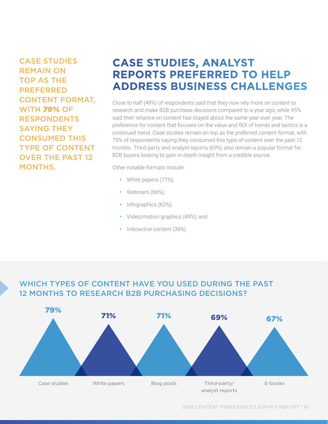CASE STUDIES REMAIN ON TOP AS THE PREFERRED CONTENT FORMAT, WITH 79% OF RESPONDENTS SAYING THEY CONSUMED THIS TYPE OF CONTENT OVER THE PAST 12 MONTHS.

# **CASE STUDIES, ANALYST REPORTS PREFERRED TO HELP ADDRESS BUSINESS CHALLENGES**

Close to half (49%) of respondents said that they now rely more on content to research and make B2B purchase decisions compared to a year ago, while 45% said their reliance on content has stayed about the same year over year. The preference for content that focuses on the value and ROI of trends and tactics is a continued trend. Case studies remain on top as the preferred content format, with 79% of respondents saying they consumed this type of content over the past 12 months. Third-party and analyst reports (69%) also remain a popular format for B2B buyers looking to gain in-depth insight from a credible source.

Other notable formats include:

- White papers (71%);
- Webinars (66%);
- Infographics (62%);
- Video/motion graphics (49%); and
- Interactive content (36%).

#### WHICH TYPES OF CONTENT HAVE YOU USED DURING THE PAST 12 MONTHS TO RESEARCH B2B PURCHASING DECISIONS?

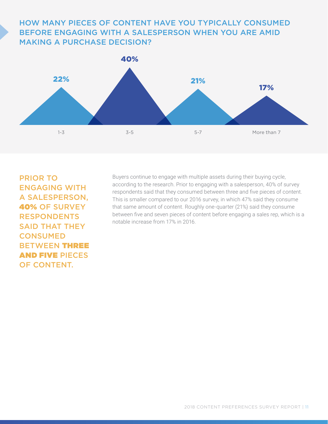#### HOW MANY PIECES OF CONTENT HAVE YOU TYPICALLY CONSUMED BEFORE ENGAGING WITH A SALESPERSON WHEN YOU ARE AMID MAKING A PURCHASE DECISION?



PRIOR TO ENGAGING WITH A SALESPERSON, 40% OF SURVEY RESPONDENTS SAID THAT THEY **CONSUMED** BETWEEN THREE AND FIVE PIECES OF CONTENT.

Buyers continue to engage with multiple assets during their buying cycle, according to the research. Prior to engaging with a salesperson, 40% of survey respondents said that they consumed between three and five pieces of content. This is smaller compared to our 2016 survey, in which 47% said they consume that same amount of content. Roughly one-quarter (21%) said they consume between five and seven pieces of content before engaging a sales rep, which is a notable increase from 17% in 2016.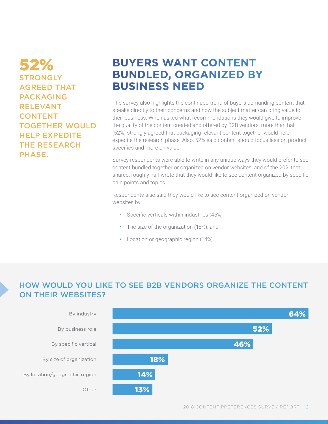52% **STRONGLY** AGREED THAT PACKAGING RELEVANT CONTENT TOGETHER WOULD HELP EXPEDITE THE RESEARCH PHASE.

# **BUYERS WANT CONTENT BUNDLED, ORGANIZED BY BUSINESS NEED**

The survey also highlights the continued trend of buyers demanding content that speaks directly to their concerns and how the subject matter can bring value to their business. When asked what recommendations they would give to improve the quality of the content created and offered by B2B vendors, more than half (52%) strongly agreed that packaging relevant content together would help expedite the research phase. Also, 52% said content should focus less on product specifics and more on value.

Survey respondents were able to write in any unique ways they would prefer to see content bundled together or organized on vendor websites, and of the 20% that shared, roughly half wrote that they would like to see content organized by specific pain points and topics.

Respondents also said they would like to see content organized on vendor websites by:

- Specific verticals within industries (46%);
- The size of the organization (18%); and
- Location or geographic region (14%).

#### HOW WOULD YOU LIKE TO SEE B2B VENDORS ORGANIZE THE CONTENT ON THEIR WEBSITES?

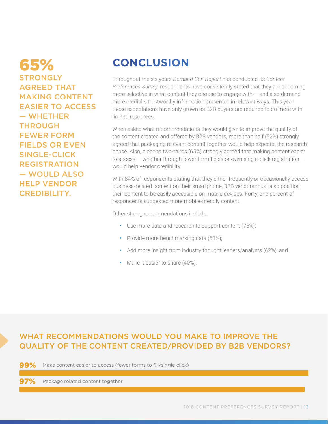65% **STRONGLY** AGREED THAT MAKING CONTENT EASIER TO ACCESS — WHETHER THROUGH FEWER FORM FIELDS OR EVEN SINGLE-CLICK REGISTRATION — WOULD ALSO HELP VENDOR CREDIBILITY.

# **CONCLUSION**

Throughout the six years *Demand Gen Report* has conducted its *Content Preferences Survey*, respondents have consistently stated that they are becoming more selective in what content they choose to engage with  $-$  and also demand more credible, trustworthy information presented in relevant ways. This year, those expectations have only grown as B2B buyers are required to do more with limited resources.

When asked what recommendations they would give to improve the quality of the content created and offered by B2B vendors, more than half (52%) strongly agreed that packaging relevant content together would help expedite the research phase. Also, close to two-thirds (65%) strongly agreed that making content easier to access — whether through fewer form fields or even single-click registration would help vendor credibility.

With 84% of respondents stating that they either frequently or occasionally access business-related content on their smartphone, B2B vendors must also position their content to be easily accessible on mobile devices. Forty-one percent of respondents suggested more mobile-friendly content.

Other strong recommendations include:

- Use more data and research to support content (75%);
- Provide more benchmarking data (63%);
- Add more insight from industry thought leaders/analysts (62%); and
- Make it easier to share (40%).

#### WHAT RECOMMENDATIONS WOULD YOU MAKE TO IMPROVE THE QUALITY OF THE CONTENT CREATED/PROVIDED BY B2B VENDORS?

99% Make content easier to access (fewer forms to fill/single click)

Package related content together 97%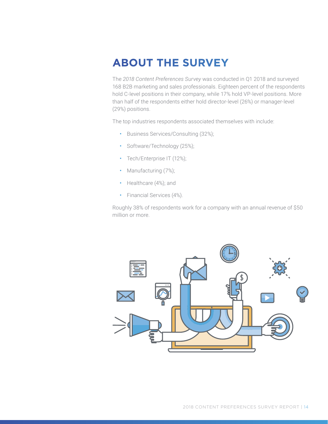# **ABOUT THE SURVEY**

The *2018 Content Preferences Survey* was conducted in Q1 2018 and surveyed 168 B2B marketing and sales professionals. Eighteen percent of the respondents hold C-level positions in their company, while 17% hold VP-level positions. More than half of the respondents either hold director-level (26%) or manager-level (29%) positions.

The top industries respondents associated themselves with include:

- Business Services/Consulting (32%);
- Software/Technology (25%);
- Tech/Enterprise IT (12%);
- Manufacturing (7%);
- Healthcare (4%); and
- Financial Services (4%).

Roughly 38% of respondents work for a company with an annual revenue of \$50 million or more.

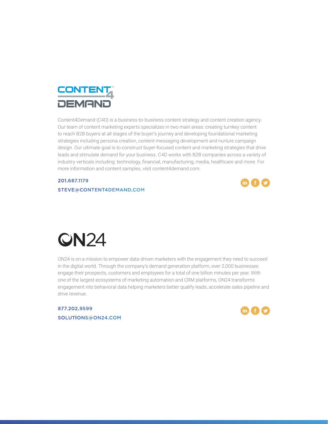

Content4Demand (C4D) is a business-to-business content strategy and content creation agency. Our team of content marketing experts specializes in two main areas: creating turnkey content to reach B2B buyers at all stages of the buyer's journey and developing foundational marketing strategies including persona creation, content messaging development and nurture campaign design. Our ultimate goal is to construct buyer-focused content and marketing strategies that drive leads and stimulate demand for your business. C4D works with B2B companies across a variety of industry verticals including: technology, financial, manufacturing, media, healthcare and more. For more information and content samples, visit content4demand.com.

#### 201.687.1179

[STEVE@CONTENT4DEMAND.COM](mailto:steve%40content4demand.com?subject=)



# **QN24**

ON24 is on a mission to empower data-driven marketers with the engagement they need to succeed in the digital world. Through the company's demand generation platform, over 2,000 businesses engage their prospects, customers and employees for a total of one billion minutes per year. With one of the largest ecosystems of marketing automation and CRM platforms, ON24 transforms engagement into behavioral data helping marketers better qualify leads, accelerate sales pipeline and drive revenue.

877.202.9599 [SOLUTIONS@ON24.COM](mailto:SOLUTIONS%40ON24.COM?subject=)